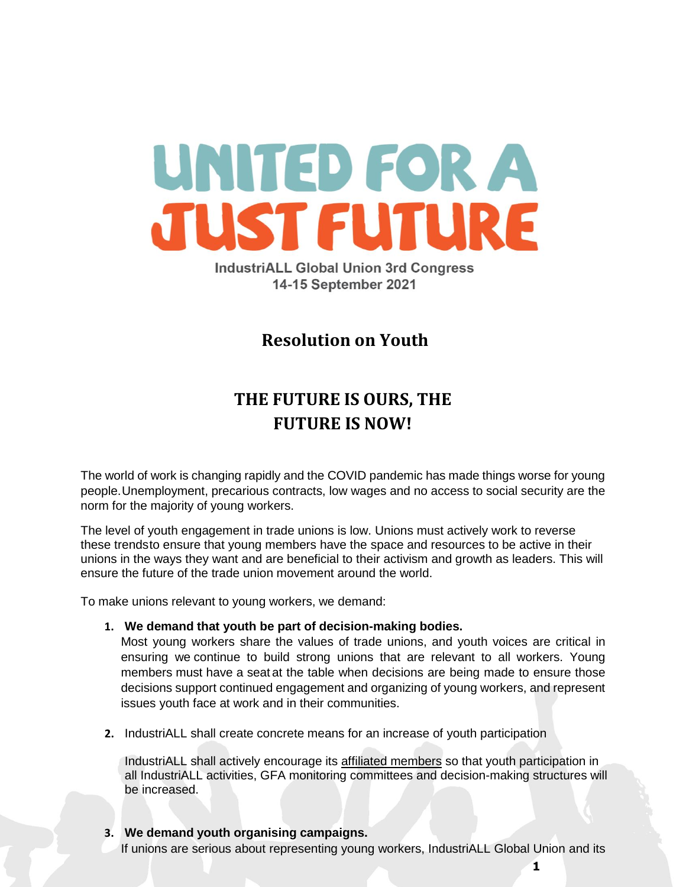

**IndustriALL Global Union 3rd Congress** 14-15 September 2021

# **Resolution on Youth**

# **THE FUTURE IS OURS, THE FUTURE IS NOW!**

The world of work is changing rapidly and the COVID pandemic has made things worse for young people.Unemployment, precarious contracts, low wages and no access to social security are the norm for the majority of young workers.

The level of youth engagement in trade unions is low. Unions must actively work to reverse these trendsto ensure that young members have the space and resources to be active in their unions in the ways they want and are beneficial to their activism and growth as leaders. This will ensure the future of the trade union movement around the world.

To make unions relevant to young workers, we demand:

**1. We demand that youth be part of decision-making bodies.**

Most young workers share the values of trade unions, and youth voices are critical in ensuring we continue to build strong unions that are relevant to all workers. Young members must have a seat at the table when decisions are being made to ensure those decisions support continued engagement and organizing of young workers, and represent issues youth face at work and in their communities.

**2.** IndustriALL shall create concrete means for an increase of youth participation

IndustriALL shall actively encourage its affiliated members so that youth participation in all IndustriALL activities, GFA monitoring committees and decision-making structures will be increased.

**3. We demand youth organising campaigns.** If unions are serious about representing young workers, IndustriALL Global Union and its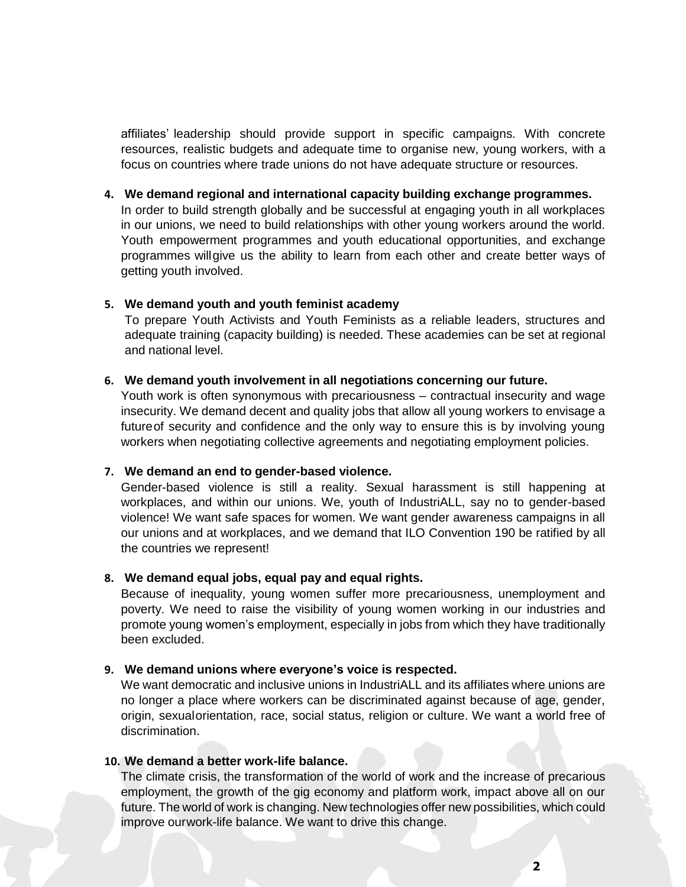affiliates' leadership should provide support in specific campaigns. With concrete resources, realistic budgets and adequate time to organise new, young workers, with a focus on countries where trade unions do not have adequate structure or resources.

#### **4. We demand regional and international capacity building exchange programmes.**

In order to build strength globally and be successful at engaging youth in all workplaces in our unions, we need to build relationships with other young workers around the world. Youth empowerment programmes and youth educational opportunities, and exchange programmes willgive us the ability to learn from each other and create better ways of getting youth involved.

#### **5. We demand youth and youth feminist academy**

To prepare Youth Activists and Youth Feminists as a reliable leaders, structures and adequate training (capacity building) is needed. These academies can be set at regional and national level.

#### **6. We demand youth involvement in all negotiations concerning our future.**

Youth work is often synonymous with precariousness – contractual insecurity and wage insecurity. We demand decent and quality jobs that allow all young workers to envisage a futureof security and confidence and the only way to ensure this is by involving young workers when negotiating collective agreements and negotiating employment policies.

#### **7. We demand an end to gender-based violence.**

Gender-based violence is still a reality. Sexual harassment is still happening at workplaces, and within our unions. We, youth of IndustriALL, say no to gender-based violence! We want safe spaces for women. We want gender awareness campaigns in all our unions and at workplaces, and we demand that ILO Convention 190 be ratified by all the countries we represent!

#### **8. We demand equal jobs, equal pay and equal rights.**

Because of inequality, young women suffer more precariousness, unemployment and poverty. We need to raise the visibility of young women working in our industries and promote young women's employment, especially in jobs from which they have traditionally been excluded.

#### **9. We demand unions where everyone's voice is respected.**

We want democratic and inclusive unions in IndustriALL and its affiliates where unions are no longer a place where workers can be discriminated against because of age, gender, origin, sexualorientation, race, social status, religion or culture. We want a world free of discrimination.

#### **10. We demand a better work-life balance.**

The climate crisis, the transformation of the world of work and the increase of precarious employment, the growth of the gig economy and platform work, impact above all on our future. The world of work is changing. New technologies offer new possibilities, which could improve ourwork-life balance. We want to drive this change.